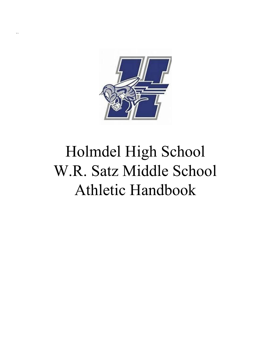

 $\ddot{\phantom{0}}$ 

# Holmdel High School W.R. Satz Middle School Athletic Handbook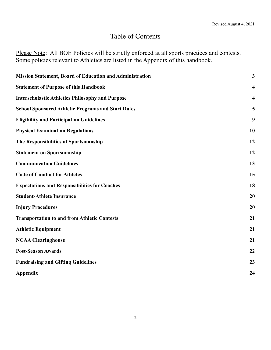# Table of Contents

Please Note: All BOE Policies will be strictly enforced at all sports practices and contests. Some policies relevant to Athletics are listed in the Appendix of this handbook.

| <b>Mission Statement, Board of Education and Administration</b> | $\mathbf{3}$            |
|-----------------------------------------------------------------|-------------------------|
| <b>Statement of Purpose of this Handbook</b>                    | $\overline{\mathbf{4}}$ |
| <b>Interscholastic Athletics Philosophy and Purpose</b>         | $\overline{\mathbf{4}}$ |
| <b>School Sponsored Athletic Programs and Start Dates</b>       | 5                       |
| <b>Eligibility and Participation Guidelines</b>                 | 9                       |
| <b>Physical Examination Regulations</b>                         | 10                      |
| The Responsibilities of Sportsmanship                           | 12                      |
| <b>Statement on Sportsmanship</b>                               | 12                      |
| <b>Communication Guidelines</b>                                 | 13                      |
| <b>Code of Conduct for Athletes</b>                             | 15                      |
| <b>Expectations and Responsibilities for Coaches</b>            | 18                      |
| <b>Student-Athlete Insurance</b>                                | 20                      |
| <b>Injury Procedures</b>                                        | 20                      |
| <b>Transportation to and from Athletic Contests</b>             | 21                      |
| <b>Athletic Equipment</b>                                       | 21                      |
| <b>NCAA Clearinghouse</b>                                       | 21                      |
| <b>Post-Season Awards</b>                                       | 22                      |
| <b>Fundraising and Gifting Guidelines</b>                       | 23                      |
| Appendix                                                        | 24                      |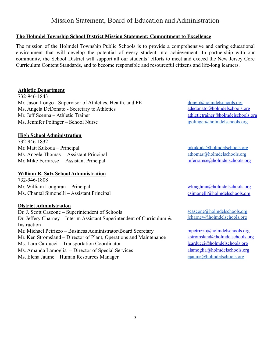### Mission Statement, Board of Education and Administration

#### <span id="page-2-0"></span>**The Holmdel Township School District Mission Statement: Commitment to Excellence**

The mission of the Holmdel Township Public Schools is to provide a comprehensive and caring educational environment that will develop the potential of every student into achievement. In partnership with our community, the School District will support all our students' efforts to meet and exceed the New Jersey Core Curriculum Content Standards, and to become responsible and resourceful citizens and life-long learners.

#### **Athletic Department**

732-946-1843 Mr. Jason Longo - Supervisor of Athletics, Health, and PE Ms. Angela DeDonato - Secretary to Athletics Mr. Jeff Scenna – Athletic Trainer athletic trainer athletictrainer athletic trainer and athletic trainer and athletic trainer and athletic trainer and athletic trainer and athletic trainer and athletic trainer and athleti Ms. Jennifer Polinger – School Nurse [jpolinger@holmdelschools.org](mailto:jpolinger@holmdelschools.org)

#### **High School Administration**

732-946-1832 Mr. Matt Kukoda – Principal [mkukoda@holmdelschools.org](mailto:mkukoda@holmdelschools.org) mkukoda@holmdelschools.org Ms. Angela Thomas – Assistant Principal athomas athomas athomas and holmdelschools.org Mr. Mike Ferrarese – Assistant Principal metal metal metal metal metal metal metal metal metal metal metal metal

#### **William R. Satz School Administration**

732-946-1808 Mr. William Loughran – Principal wlows and writing whose whole whole whole holds of graduate whole whole whole holds of graduate whole whole holds of graduate whole holds of graduate whole holds of graduate whole holds of Ms. Chantal Simonelli – Assistant Principal [csimonelli@holmdelschools.org](mailto:csimonelli@holmdelschools.org)

#### **District Administration**

Dr. J. Scott Cascone – Superintendent of Schools Dr. Jeffery Charney – Interim Assistant Superintendent of Curriculum & **Instruction** Mr. Michael Petrizzo – Business Administrator/Board Secretary Mr. Ken Stromsland – Director of Plant, Operations and Maintenance Ms. Lara Carducci – Transportation Coordinator learning and large learning learning learning learning learning learning learning learning learning learning learning learning learning learning learning learning learning lea Ms. Amanda Lamoglia – Director of Special Services alamoglia@holmdelschools.org Ms. Elena Jaume – Human Resources Manager ejaume @holmdelschools.org

[jlongo@holmdelschools.org](mailto:jlongo@holmdelschools.org) adedonato@holmdelschools.org

[scascone@holmdelschools.org](mailto:scascone@holmdelschools.org) [jcharney@holmdelschools.org](mailto:jcharney@holmdelschools.org)

[mpetrizzo@holmdelschools.org](mailto:mpetrizzo@holmdelschools.org) [kstromsland@holmdelschools.org](mailto:kstromsland@holmdelschools.org)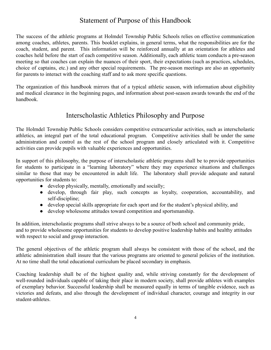# Statement of Purpose of this Handbook

<span id="page-3-0"></span>The success of the athletic programs at Holmdel Township Public Schools relies on effective communication among coaches, athletes, parents. This booklet explains, in general terms, what the responsibilities are for the coach, student, and parent. This information will be reinforced annually at an orientation for athletes and coaches held before the start of each competitive season. Additionally, each athletic team conducts a pre-season meeting so that coaches can explain the nuances of their sport, their expectations (such as practices, schedules, choice of captains, etc.) and any other special requirements. The pre-season meetings are also an opportunity for parents to interact with the coaching staff and to ask more specific questions.

The organization of this handbook mirrors that of a typical athletic season, with information about eligibility and medical clearance in the beginning pages, and information about post-season awards towards the end of the handbook.

### Interscholastic Athletics Philosophy and Purpose

<span id="page-3-1"></span>The Holmdel Township Public Schools considers competitive extracurricular activities, such as interscholastic athletics, an integral part of the total educational program. Competitive activities shall be under the same administration and control as the rest of the school program and closely articulated with it. Competitive activities can provide pupils with valuable experiences and opportunities.

In support of this philosophy, the purpose of interscholastic athletic programs shall be to provide opportunities for students to participate in a "learning laboratory" where they may experience situations and challenges similar to those that may be encountered in adult life. The laboratory shall provide adequate and natural opportunities for students to:

- develop physically, mentally, emotionally and socially;
- develop, through fair play, such concepts as loyalty, cooperation, accountability, and self-discipline;
- develop special skills appropriate for each sport and for the student's physical ability, and
- develop wholesome attitudes toward competition and sportsmanship.

In addition, interscholastic programs shall strive always to be a source of both school and community pride, and to provide wholesome opportunities for students to develop positive leadership habits and healthy attitudes with respect to social and group interaction.

The general objectives of the athletic program shall always be consistent with those of the school, and the athletic administration shall insure that the various programs are oriented to general policies of the institution. At no time shall the total educational curriculum be placed secondary in emphasis.

Coaching leadership shall be of the highest quality and, while striving constantly for the development of well-rounded individuals capable of taking their place in modern society, shall provide athletes with examples of exemplary behavior. Successful leadership shall be measured equally in terms of tangible evidence, such as victories and defeats, and also through the development of individual character, courage and integrity in our student-athletes.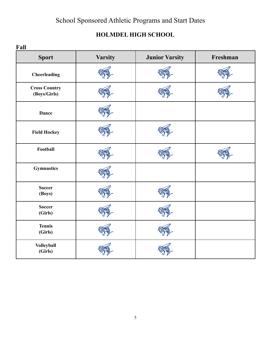# School Sponsored Athletic Programs and Start Dates

# **HOLMDEL HIGH SCHOOL**

<span id="page-4-0"></span>

| Fall                                 |                |                       |          |
|--------------------------------------|----------------|-----------------------|----------|
| <b>Sport</b>                         | <b>Varsity</b> | <b>Junior Varsity</b> | Freshman |
| Cheerleading                         |                |                       |          |
| <b>Cross Country</b><br>(Boys/Girls) |                |                       |          |
| <b>Dance</b>                         |                |                       |          |
| <b>Field Hockey</b>                  |                |                       |          |
| Football                             |                |                       |          |
| <b>Gymnastics</b>                    |                |                       |          |
| <b>Soccer</b><br>(Boys)              |                |                       |          |
| <b>Soccer</b><br>(Girls)             |                |                       |          |
| <b>Tennis</b><br>(Girls)             |                |                       |          |
| <b>Volleyball</b><br>(Girls)         |                |                       |          |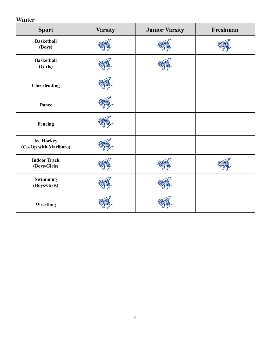# **Winter**

| <b>Sport</b>                               | <b>Varsity</b> | <b>Junior Varsity</b> | Freshman |
|--------------------------------------------|----------------|-----------------------|----------|
| <b>Basketball</b><br>(Boys)                |                |                       |          |
| <b>Basketball</b><br>(Girls)               |                |                       |          |
| Cheerleading                               |                |                       |          |
| <b>Dance</b>                               |                |                       |          |
| Fencing                                    |                |                       |          |
| <b>Ice Hockey</b><br>(Co-Op with Marlboro) |                |                       |          |
| <b>Indoor Track</b><br>(Boys/Girls)        |                |                       |          |
| Swimming<br>(Boys/Girls)                   |                |                       |          |
| Wrestling                                  |                |                       |          |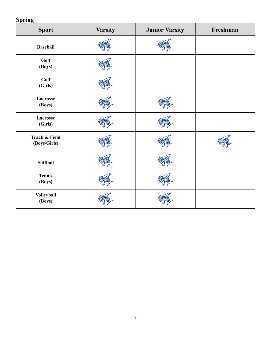# **Spring**

| <b>Sport</b>                             | <b>Varsity</b> | <b>Junior Varsity</b> | Freshman |
|------------------------------------------|----------------|-----------------------|----------|
| <b>Baseball</b>                          |                |                       |          |
| Golf<br>(Boys)                           |                |                       |          |
| Golf<br>(Girls)                          |                |                       |          |
| Lacrosse<br>(Boys)                       |                |                       |          |
| Lacrosse<br>(Girls)                      |                |                       |          |
| <b>Track &amp; Field</b><br>(Boys/Girls) |                |                       |          |
| Softball                                 |                |                       |          |
| <b>Tennis</b><br>(Boys)                  |                |                       |          |
| <b>Volleyball</b><br>(Boys)              |                |                       |          |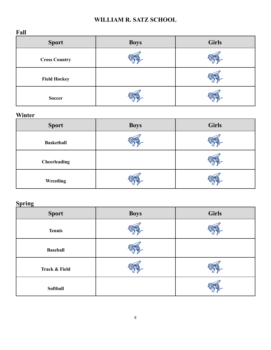### **WILLIAM R. SATZ SCHOOL**

**Fall**

| <b>Sport</b>         | <b>Boys</b> | <b>Girls</b> |
|----------------------|-------------|--------------|
| <b>Cross Country</b> |             |              |
| <b>Field Hockey</b>  |             |              |
| <b>Soccer</b>        |             |              |

# **Winter**

| <b>Sport</b>      | <b>Boys</b> | <b>Girls</b> |
|-------------------|-------------|--------------|
| <b>Basketball</b> |             |              |
| Cheerleading      |             |              |
| Wrestling         |             |              |

# **Spring**

| $\bullet$<br><b>Sport</b> | <b>Boys</b> | <b>Girls</b> |
|---------------------------|-------------|--------------|
| <b>Tennis</b>             |             |              |
| <b>Baseball</b>           |             |              |
| <b>Track &amp; Field</b>  |             |              |
| Softball                  |             |              |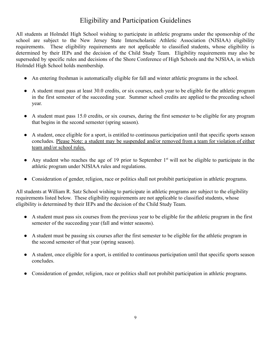# Eligibility and Participation Guidelines

<span id="page-8-0"></span>All students at Holmdel High School wishing to participate in athletic programs under the sponsorship of the school are subject to the New Jersey State Interscholastic Athletic Association (NJSIAA) eligibility requirements. These eligibility requirements are not applicable to classified students, whose eligibility is determined by their IEPs and the decision of the Child Study Team. Eligibility requirements may also be superseded by specific rules and decisions of the Shore Conference of High Schools and the NJSIAA, in which Holmdel High School holds membership.

- An entering freshman is automatically eligible for fall and winter athletic programs in the school.
- A student must pass at least 30.0 credits, or six courses, each year to be eligible for the athletic program in the first semester of the succeeding year. Summer school credits are applied to the preceding school year.
- A student must pass 15.0 credits, or six courses, during the first semester to be eligible for any program that begins in the second semester (spring season).
- A student, once eligible for a sport, is entitled to continuous participation until that specific sports season concludes. Please Note: a student may be suspended and/or removed from a team for violation of either team and/or school rules.
- Any student who reaches the age of 19 prior to September  $1<sup>st</sup>$  will not be eligible to participate in the athletic program under NJSIAA rules and regulations.
- Consideration of gender, religion, race or politics shall not prohibit participation in athletic programs.

All students at William R. Satz School wishing to participate in athletic programs are subject to the eligibility requirements listed below. These eligibility requirements are not applicable to classified students, whose eligibility is determined by their IEPs and the decision of the Child Study Team.

- A student must pass six courses from the previous year to be eligible for the athletic program in the first semester of the succeeding year (fall and winter seasons).
- A student must be passing six courses after the first semester to be eligible for the athletic program in the second semester of that year (spring season).
- A student, once eligible for a sport, is entitled to continuous participation until that specific sports season concludes.
- Consideration of gender, religion, race or politics shall not prohibit participation in athletic programs.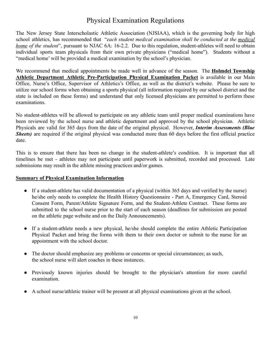# Physical Examination Regulations

<span id="page-9-0"></span>The New Jersey State Interscholastic Athletic Association (NJSIAA), which is the governing body for high school athletics, has recommended that "*each student medical examination shall be conducted at the medical home of the student*", pursuant to NJAC 6A: 16-2.2. Due to this regulation, student-athletes will need to obtain individual sports team physicals from their own private physicians ("medical home"). Students without a "medical home' will be provided a medical examination by the school's physician.

We recommend that medical appointments be made well in advance of the season. The **Holmdel Township Athletic Department Athletic Pre-Participation Physical Examination Packet** is available in our Main Office, Nurse's Office, Supervisor of Athletics's Office, as well as the district's website. Please be sure to utilize our school forms when obtaining a sports physical (all information required by our school district and the state is included on these forms) and understand that only licensed physicians are permitted to perform these examinations.

No student-athletes will be allowed to participate on any athletic team until proper medical examinations have been reviewed by the school nurse and athletic department and approved by the school physician. Athletic Physicals are valid for 365 days from the date of the original physical. However, *Interim Assessments (Blue Sheets*) are required if the original physical was conducted more than 60 days before the first official practice date.

This is to ensure that there has been no change in the student-athlete's condition. It is important that all timelines be met - athletes may not participate until paperwork is submitted, recorded and processed. Late submissions may result in the athlete missing practices and/or games.

#### **Summary of Physical Examination Information**

- If a student-athlete has valid documentation of a physical (within 365 days and verified by the nurse) he/she only needs to complete the Health History Questionnaire - Part A, Emergency Card, Steroid Consent Form, Parent/Athlete Signature Form, and the Student-Athlete Contract. These forms are submitted to the school nurse prior to the start of each season (deadlines for submission are posted on the athletic page website and on the Daily Announcements).
- If a student-athlete needs a new physical, he/she should complete the entire Athletic Participation Physical Packet and bring the forms with them to their own doctor or submit to the nurse for an appointment with the school doctor.
- The doctor should emphasize any problems or concerns or special circumstances; as such, the school nurse will alert coaches in these instances.
- Previously known injuries should be brought to the physician's attention for more careful examination.
- A school nurse/athletic trainer will be present at all physical examinations given at the school.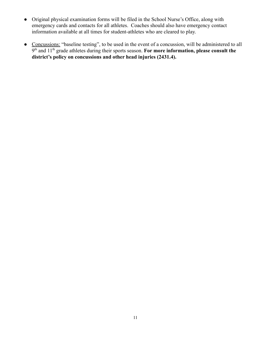- Original physical examination forms will be filed in the School Nurse's Office, along with emergency cards and contacts for all athletes. Coaches should also have emergency contact information available at all times for student-athletes who are cleared to play.
- Concussions: "baseline testing", to be used in the event of a concussion, will be administered to all 9<sup>th</sup> and 11<sup>th</sup> grade athletes during their sports season. For more information, please consult the **district's policy on concussions and other head injuries (2431.4).**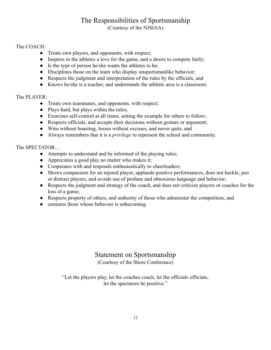### The Responsibilities of Sportsmanship (Courtesy of the NJSIAA)

#### <span id="page-11-0"></span>The COACH:

- Treats own players, and opponents, with respect;
- Inspires in the athletes a love for the game, and a desire to compete fairly;
- Is the type of person he/she wants the athletes to be;
- Disciplines those on the team who display unsportsmanlike behavior;
- Respects the judgment and interpretation of the rules by the officials, and
- Knows he/she is a teacher, and understands the athletic area is a classroom.

#### The PLAYER:

- Treats own teammates, and opponents, with respect;
- Plays hard, but plays within the rules;
- Exercises self-control at all times, setting the example for others to follow;
- Respects officials, and accepts their decisions without gesture or argument;
- Wins without boasting, losses without excuses, and never quits, and
- Always remembers that it is a *privilege* to represent the school and community.

#### The SPECTATOR…

- Attempts to understand and be informed of the playing rules;
- Appreciates a good play no matter who makes it;
- Cooperates with and responds enthusiastically to cheerleaders;
- Shows compassion for an injured player, applauds positive performances, does not heckle, jeer or distract players, and avoids use of profane and obnoxious language and behavior;
- Respects the judgment and strategy of the coach, and does not criticize players or coaches for the loss of a game;
- Respects property of others, and authority of those who administer the competition, and
- censures those whose behavior is unbecoming.

### Statement on Sportsmanship (Courtesy of the Shore Conference)

<span id="page-11-1"></span>"Let the players play, let the coaches coach, let the officials officiate, let the spectators be positive."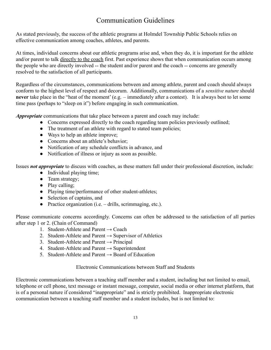# Communication Guidelines

<span id="page-12-0"></span>As stated previously, the success of the athletic programs at Holmdel Township Public Schools relies on effective communication among coaches, athletes, and parents.

At times, individual concerns about our athletic programs arise and, when they do, it is important for the athlete and/or parent to talk directly to the coach first. Past experience shows that when communication occurs among the people who are directly involved -- the student and/or parent and the coach -- concerns are generally resolved to the satisfaction of all participants.

Regardless of the circumstances, communications between and among athlete, parent and coach should always conform to the highest level of respect and decorum. Additionally, communications of a *sensitive nature* should **never** take place in the "heat of the moment' (e.g. – immediately after a contest). It is always best to let some time pass (perhaps to "sleep on it") before engaging in such communication.

*Appropriate* communications that take place between a parent and coach may include:

- Concerns expressed directly to the coach regarding team policies previously outlined;
- The treatment of an athlete with regard to stated team policies;
- Ways to help an athlete improve;
- Concerns about an athlete's behavior;
- Notification of any schedule conflicts in advance, and
- Notification of illness or injury as soon as possible.

Issues *not appropriate* to discuss with coaches, as these matters fall under their professional discretion, include:

- Individual playing time;
- Team strategy;
- Play calling:
- Playing time/performance of other student-athletes;
- Selection of captains, and
- Practice organization  $(i.e. drills,$  scrimmaging, etc.).

Please communicate concerns accordingly. Concerns can often be addressed to the satisfaction of all parties after step 1 or 2. (Chain of Command)

- 1. Student-Athlete and Parent  $\rightarrow$  Coach
- 2. Student-Athlete and Parent  $\rightarrow$  Supervisor of Athletics
- 3. Student-Athlete and Parent  $\rightarrow$  Principal
- 4. Student-Athlete and Parent  $\rightarrow$  Superintendent
- 5. Student-Athlete and Parent  $\rightarrow$  Board of Education

#### Electronic Communications between Staff and Students

Electronic communications between a teaching staff member and a student, including but not limited to email, telephone or cell phone, text message or instant message, computer, social media or other internet platform, that is of a personal nature if considered "inappropriate" and is strictly prohibited. Inappropriate electronic communication between a teaching staff member and a student includes, but is not limited to: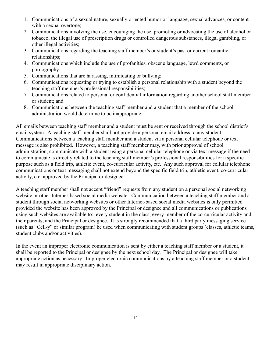- 1. Communications of a sexual nature, sexually oriented humor or language, sexual advances, or content with a sexual overtone;
- 2. Communications involving the use, encouraging the use, promoting or advocating the use of alcohol or tobacco, the illegal use of prescription drugs or controlled dangerous substances, illegal gambling, or other illegal activities;
- 3. Communications regarding the teaching staff member's or student's past or current romantic relationships;
- 4. Communications which include the use of profanities, obscene language, lewd comments, or pornography;
- 5. Communications that are harassing, intimidating or bullying;
- 6. Communications requesting or trying to establish a personal relationship with a student beyond the teaching staff member's professional responsibilities;
- 7. Communications related to personal or confidential information regarding another school staff member or student; and
- 8. Communications between the teaching staff member and a student that a member of the school administration would determine to be inappropriate.

All emails between teaching staff member and a student must be sent or received through the school district's email system. A teaching staff member shall not provide a personal email address to any student. Communications between a teaching staff member and a student via a personal cellular telephone or text message is also prohibited. However, a teaching staff member may, with prior approval of school administration, communicate with a student using a personal cellular telephone or via text message if the need to communicate is directly related to the teaching staff member's professional responsibilities for a specific purpose such as a field trip, athletic event, co-curricular activity, etc. Any such approval for cellular telephone communications or text messaging shall not extend beyond the specific field trip, athletic event, co-curricular activity, etc. approved by the Principal or designee.

A teaching staff member shall not accept "friend" requests from any student on a personal social networking website or other Internet-based social media website. Communication between a teaching staff member and a student through social networking websites or other Internet-based social media websites is only permitted provided the website has been approved by the Principal or designee and all communications or publications using such websites are available to: every student in the class; every member of the co-curricular activity and their parents; and the Principal or designee. It is strongly recommended that a third party messaging service (such as "Cell-y" or similar program) be used when communicating with student groups (classes, athletic teams, student clubs and/or activities).

In the event an improper electronic communication is sent by either a teaching staff member or a student, it shall be reported to the Principal or designee by the next school day. The Principal or designee will take appropriate action as necessary. Improper electronic communications by a teaching staff member or a student may result in appropriate disciplinary action.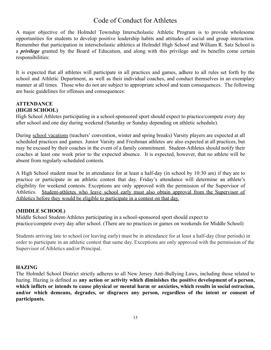### Code of Conduct for Athletes

<span id="page-14-0"></span>A major objective of the Holmdel Township Interscholastic Athletic Program is to provide wholesome opportunities for students to develop positive leadership habits and attitudes of social and group interaction. Remember that participation in interscholastic athletics at Holmdel High School and William R. Satz School is a *privilege* granted by the Board of Education, and along with this privilege and its benefits come certain responsibilities:

It is expected that all athletes will participate in all practices and games, adhere to all rules set forth by the school and Athletic Department, as well as their individual coaches, and conduct themselves in an exemplary manner at all times. Those who do not are subject to appropriate school and team consequences. The following are basic guidelines for offenses and consequences:

#### **ATTENDANCE (HIGH SCHOOL)**

High School Athletes participating in a school-sponsored sport should expect to practice/compete every day after school and one day during weekend (Saturday or Sunday depending on athletic schedule).

During school vacations (teachers' convention, winter and spring breaks) Varsity players are expected at all scheduled practices and games. Junior Varsity and Freshman athletes are also expected at all practices, but may be excused by their coaches in the event of a family commitment. Student-Athletes should notify their coaches at least one week prior to the expected absence. It is expected, however, that no athlete will be absent from regularly-scheduled contests.

A High School student must be in attendance for at least a half-day (in school by 10:30 am) if they are to practice or participate in an athletic contest that day. Friday's attendance will determine an athlete's eligibility for weekend contests. Exceptions are only approved with the permission of the Supervisor of Athletics. Student-athletes who leave school early must also obtain approval from the Supervisor of Athletics before they would be eligible to participate in a contest on that day.

#### **(MIDDLE SCHOOL)**

Middle School Student-Athletes participating in a school-sponsored sport should expect to practice/compete every day after school. (There are no practices or games on weekends for Middle School)

Students arriving late to school (or leaving early) must be in attendance for at least a half-day (four periods) in order to participate in an athletic contest that same day. Exceptions are only approved with the permission of the Supervisor of Athletics and/or Principal.

#### **HAZING**

The Holmdel School District strictly adheres to all New Jersey Anti-Bullying Laws, including those related to hazing. Hazing is defined as **any action or activity which diminishes the positive development of a person, which inflicts or intends to cause physical or mental harm or anxieties, which results in social ostracism, and/or which demeans, degrades, or disgraces any person, regardless of the intent or consent of participants.**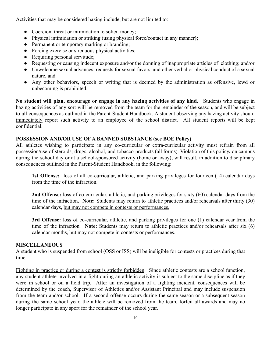Activities that may be considered hazing include, but are not limited to:

- Coercion, threat or intimidation to solicit money;
- Physical intimidation or striking (using physical force/contact in any manner**);**
- Permanent or temporary marking or branding:
- Forcing exercise or strenuous physical activities;
- Requiring personal servitude;
- Requesting or causing indecent exposure and/or the donning of inappropriate articles of clothing; and/or
- Unwelcome sexual advances, requests for sexual favors, and other verbal or physical conduct of a sexual nature, and
- Any other behaviors, speech or writing that is deemed by the administration as offensive, lewd or unbecoming is prohibited.

**No student will plan, encourage or engage in any hazing activities of any kind.** Students who engage in hazing activities of any sort will be removed from the team for the remainder of the season, and will be subject to all consequences as outlined in the Parent-Student Handbook. A student observing any hazing activity should immediately report such activity to an employee of the school district. All student reports will be kept confidential.

#### **POSSESSION AND/OR USE OF A BANNED SUBSTANCE (see BOE Policy)**

All athletes wishing to participate in any co-curricular or extra-curricular activity must refrain from all possession/use of steroids, drugs, alcohol, and tobacco products (all forms). Violation of this policy**,** on campus during the school day or at a school-sponsored activity (home or away)**,** will result, in addition to disciplinary consequences outlined in the Parent-Student Handbook, in the following:

**1st Offense:** loss of all co-curricular, athletic, and parking privileges for fourteen (14) calendar days from the time of the infraction.

**2nd Offense:** loss of co-curricular, athletic, and parking privileges for sixty (60) calendar days from the time of the infraction. **Note:** Students may return to athletic practices and/or rehearsals after thirty (30) calendar days, but may not compete in contests or performances.

**3rd Offense:** loss of co-curricular, athletic, and parking privileges for one (1) calendar year from the time of the infraction. **Note:** Students may return to athletic practices and/or rehearsals after six (6) calendar months, but may not compete in contests or performances.

#### **MISCELLANEOUS**

A student who is suspended from school (OSS or ISS) will be ineligible for contests or practices during that time.

Fighting in practice or during a contest is strictly forbidden. Since athletic contests are a school function, any student-athlete involved in a fight during an athletic activity is subject to the same discipline as if they were in school or on a field trip. After an investigation of a fighting incident, consequences will be determined by the coach, Supervisor of Athletics and/or Assistant Principal and may include suspension from the team and/or school. If a second offense occurs during the same season or a subsequent season during the same school year, the athlete will be removed from the team, forfeit all awards and may no longer participate in any sport for the remainder of the school year.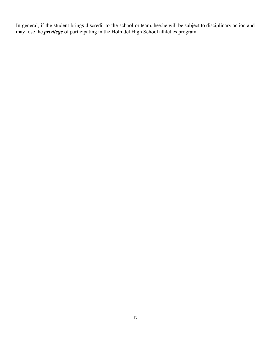In general, if the student brings discredit to the school or team, he/she will be subject to disciplinary action and may lose the *privilege* of participating in the Holmdel High School athletics program.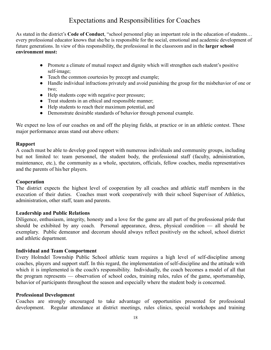# Expectations and Responsibilities for Coaches

<span id="page-17-0"></span>As stated in the district's **Code of Conduct**, "school personnel play an important role in the education of students… every professional educator knows that she/he is responsible for the social, emotional and academic development of future generations. In view of this responsibility, the professional in the classroom and in the **larger school environment must:**

- Promote a climate of mutual respect and dignity which will strengthen each student's positive self-image;
- Teach the common courtesies by precept and example;
- Handle individual infractions privately and avoid punishing the group for the misbehavior of one or two;
- Help students cope with negative peer pressure;
- Treat students in an ethical and responsible manner;
- Help students to reach their maximum potential, and
- Demonstrate desirable standards of behavior through personal example.

We expect no less of our coaches on and off the playing fields, at practice or in an athletic contest. These major performance areas stand out above others:

#### **Rapport**

A coach must be able to develop good rapport with numerous individuals and community groups, including but not limited to: team personnel, the student body, the professional staff (faculty, administration, maintenance, etc.), the community as a whole, spectators, officials, fellow coaches, media representatives and the parents of his/her players.

#### **Cooperation**

The district expects the highest level of cooperation by all coaches and athletic staff members in the execution of their duties. Coaches must work cooperatively with their school Supervisor of Athletics, administration, other staff, team and parents.

#### **Leadership and Public Relations**

Diligence, enthusiasm, integrity, honesty and a love for the game are all part of the professional pride that should be exhibited by any coach. Personal appearance, dress, physical condition — all should be exemplary. Public demeanor and decorum should always reflect positively on the school, school district and athletic department.

#### **Individual and Team Comportment**

Every Holmdel Township Public School athletic team requires a high level of self-discipline among coaches, players and support staff. In this regard, the implementation of self-discipline and the attitude with which it is implemented is the coach's responsibility. Individually, the coach becomes a model of all that the program represents — observation of school codes, training rules, rules of the game, sportsmanship, behavior of participants throughout the season and especially where the student body is concerned.

#### **Professional Development**

Coaches are strongly encouraged to take advantage of opportunities presented for professional development. Regular attendance at district meetings, rules clinics, special workshops and training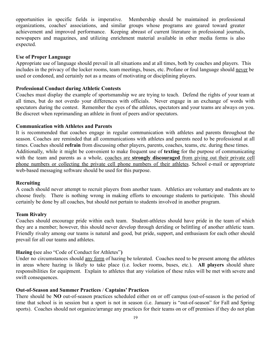opportunities in specific fields is imperative. Membership should be maintained in professional organizations, coaches' associations, and similar groups whose programs are geared toward greater achievement and improved performance. Keeping abreast of current literature in professional journals, newspapers and magazines, and utilizing enrichment material available in other media forms is also expected.

#### **Use of Proper Language**

Appropriate use of language should prevail in all situations and at all times, both by coaches and players. This includes in the privacy of the locker rooms, team meetings, buses, etc. Profane or foul language should never be used or condoned, and certainly not as a means of motivating or disciplining players.

#### **Professional Conduct during Athletic Contests**

Coaches must display the example of sportsmanship we are trying to teach. Defend the rights of your team at all times, but do not overdo your differences with officials. Never engage in an exchange of words with spectators during the contest. Remember the eyes of the athletes, spectators and your teams are always on you. Be discreet when reprimanding an athlete in front of peers and/or spectators.

#### **Communication with Athletes and Parents**

It is recommended that coaches engage in regular communication with athletes and parents throughout the season. Coaches are reminded that all communications with athletes and parents need to be professional at all times. Coaches should **refrain** from discussing other players, parents, coaches, teams, etc. during these times. Additionally, while it might be convenient to make frequent use of **texting** for the purpose of communicating with the team and parents as a whole, coaches are **strongly discouraged** from giving out their private cell phone numbers or collecting the private cell phone numbers of their athletes. School e-mail or appropriate web-based messaging software should be used for this purpose.

#### **Recruiting**

A coach should never attempt to recruit players from another team. Athletics are voluntary and students are to choose freely. There is nothing wrong in making efforts to encourage students to participate. This should certainly be done by all coaches, but should not pertain to students involved in another program.

#### **Team Rivalry**

Coaches should encourage pride within each team. Student-athletes should have pride in the team of which they are a member; however, this should never develop through deriding or belittling of another athletic team. Friendly rivalry among our teams is natural and good, but pride, support, and enthusiasm for each other should prevail for all our teams and athletes.

#### **Hazing (**see also "Code of Conduct for Athletes"**)**

Under no circumstances should any form of hazing be tolerated. Coaches need to be present among the athletes in areas where hazing is likely to take place (i.e. locker rooms, buses, etc.). **All players** should share responsibilities for equipment. Explain to athletes that any violation of these rules will be met with severe and swift consequences.

#### **Out-of-Season and Summer Practices** / **Captains' Practices**

There should be **NO** out-of-season practices scheduled either on or off campus (out-of-season is the period of time that school is in session but a sport is not in season (i.e. January is "out-of-season" for Fall and Spring sports). Coaches should not organize/arrange any practices for their teams on or off premises if they do not plan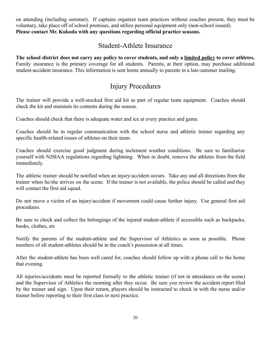on attending (including summer). If captains organize team practices without coaches present, they must be voluntary, take place off of school premises, and utilize personal equipment only (non-school issued). **Please contact Mr. Kukoda with any questions regarding official practice seasons.**

### Student-Athlete Insurance

<span id="page-19-0"></span>**The school district does not carry any policy to cover students, and only a limited policy to cover athletes.** Family insurance is the primary coverage for all students. Parents, at their option, may purchase additional student-accident insurance. This information is sent home annually to parents in a late-summer mailing.

### Injury Procedures

<span id="page-19-1"></span>The trainer will provide a well-stocked first aid kit as part of regular team equipment. Coaches should check the kit and maintain its contents during the season.

Coaches should check that there is adequate water and ice at every practice and game.

Coaches should be in regular communication with the school nurse and athletic trainer regarding any specific health-related issues of athletes on their team.

Coaches should exercise good judgment during inclement weather conditions. Be sure to familiarize yourself with NJSIAA regulations regarding lightning. When in doubt, remove the athletes from the field immediately.

The athletic trainer should be notified when an injury/accident occurs. Take any and all directions from the trainer when he/she arrives on the scene. If the trainer is not available, the police should be called and they will contact the first aid squad.

Do not move a victim of an injury/accident if movement could cause further injury. Use general first aid procedures.

Be sure to check and collect the belongings of the injured student-athlete if accessible such as backpacks, books, clothes, etc

Notify the parents of the student-athlete and the Supervisor of Athletics as soon as possible. Phone numbers of all student-athletes should be in the coach's possession at all times.

After the student-athlete has been well cared for, coaches should follow up with a phone call to the home that evening.

All injuries/accidents must be reported formally to the athletic trainer (if not in attendance on the scene) and the Supervisor of Athletics the morning after they occur. Be sure you review the accident report filed by the trainer and sign. Upon their return, players should be instructed to check in with the nurse and/or trainer before reporting to their first class or next practice.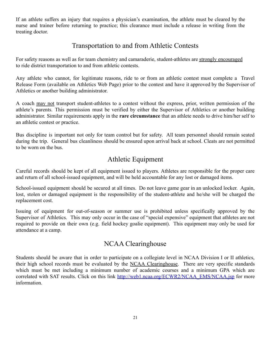If an athlete suffers an injury that requires a physician's examination, the athlete must be cleared by the nurse and trainer before returning to practice; this clearance must include a release in writing from the treating doctor.

### Transportation to and from Athletic Contests

<span id="page-20-0"></span>For safety reasons as well as for team chemistry and camaraderie, student-athletes are strongly encouraged to ride district transportation to and from athletic contests.

Any athlete who cannot, for legitimate reasons, ride to or from an athletic contest must complete a Travel Release Form (available on Athletics Web Page) prior to the contest and have it approved by the Supervisor of Athletics or another building administrator.

A coach may not transport student-athletes to a contest without the express, prior, written permission of the athlete's parents. This permission must be verified by either the Supervisor of Athletics or another building administrator. Similar requirements apply in the **rare circumstance** that an athlete needs to drive him/her self to an athletic contest or practice.

Bus discipline is important not only for team control but for safety. All team personnel should remain seated during the trip. General bus cleanliness should be ensured upon arrival back at school. Cleats are not permitted to be worn on the bus.

# Athletic Equipment

<span id="page-20-1"></span>Careful records should be kept of all equipment issued to players. Athletes are responsible for the proper care and return of all school-issued equipment, and will be held accountable for any lost or damaged items.

School-issued equipment should be secured at all times. Do not leave game gear in an unlocked locker. Again, lost, stolen or damaged equipment is the responsibility of the student-athlete and he/she will be charged the replacement cost.

Issuing of equipment for out-of-season or summer use is prohibited unless specifically approved by the Supervisor of Athletics. This may only occur in the case of "special expensive" equipment that athletes are not required to provide on their own (e.g. field hockey goalie equipment). This equipment may only be used for attendance at a camp.

### NCAA Clearinghouse

<span id="page-20-2"></span>Students should be aware that in order to participate on a collegiate level in NCAA Division I or II athletics, their high school records must be evaluated by the NCAA Clearinghouse. There are very specific standards which must be met including a minimum number of academic courses and a minimum GPA which are correlated with SAT results. Click on this link [http://web1.ncaa.org/ECWR2/NCAA\\_EMS/NCAA.jsp](http://web1.ncaa.org/ECWR2/NCAA_EMS/NCAA.jsp) for more information.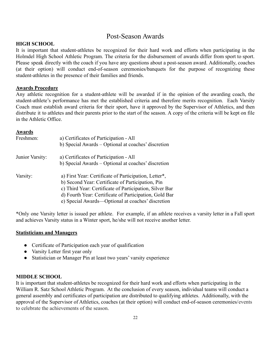### Post-Season Awards

#### <span id="page-21-0"></span>**HIGH SCHOOL**

It is important that student-athletes be recognized for their hard work and efforts when participating in the Holmdel High School Athletic Program. The criteria for the disbursement of awards differ from sport to sport. Please speak directly with the coach if you have any questions about a post-season award. Additionally, coaches (at their option) will conduct end-of-season ceremonies/banquets for the purpose of recognizing these student-athletes in the presence of their families and friends.

#### **Awards Procedure**

Any athletic recognition for a student-athlete will be awarded if in the opinion of the awarding coach, the student-athlete's performance has met the established criteria and therefore merits recognition. Each Varsity Coach must establish award criteria for their sport, have it approved by the Supervisor of Athletics, and then distribute it to athletes and their parents prior to the start of the season. A copy of the criteria will be kept on file in the Athletic Office.

#### **Awards**

| Freshmen:       | a) Certificates of Participation - All<br>b) Special Awards – Optional at coaches' discretion                                                                                                                                                                                        |
|-----------------|--------------------------------------------------------------------------------------------------------------------------------------------------------------------------------------------------------------------------------------------------------------------------------------|
| Junior Varsity: | a) Certificates of Participation - All<br>b) Special Awards – Optional at coaches' discretion                                                                                                                                                                                        |
| Varsity:        | a) First Year: Certificate of Participation, Letter*,<br>b) Second Year: Certificate of Participation, Pin<br>c) Third Year: Certificate of Participation, Silver Bar<br>d) Fourth Year: Certificate of Participation, Gold Bar<br>e) Special Awards—Optional at coaches' discretion |

\*Only one Varsity letter is issued per athlete. For example, if an athlete receives a varsity letter in a Fall sport and achieves Varsity status in a Winter sport, he/she will not receive another letter.

#### **Statisticians and Managers**

- Certificate of Participation each year of qualification
- Varsity Letter first year only
- Statistician or Manager Pin at least two years' varsity experience

#### **MIDDLE SCHOOL**

It is important that student-athletes be recognized for their hard work and efforts when participating in the William R. Satz School Athletic Program. At the conclusion of every season, individual teams will conduct a general assembly and certificates of participation are distributed to qualifying athletes. Additionally, with the approval of the Supervisor of Athletics, coaches (at their option) will conduct end-of-season ceremonies/events to celebrate the achievements of the season.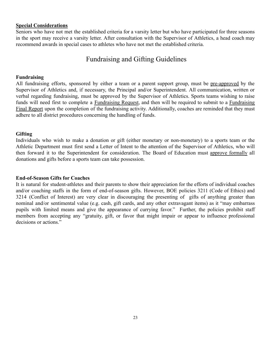#### **Special Considerations**

Seniors who have not met the established criteria for a varsity letter but who have participated for three seasons in the sport may receive a varsity letter. After consultation with the Supervisor of Athletics, a head coach may recommend awards in special cases to athletes who have not met the established criteria.

### Fundraising and Gifting Guidelines

#### <span id="page-22-0"></span>**Fundraising**

All fundraising efforts, sponsored by either a team or a parent support group, must be pre-approved by the Supervisor of Athletics and, if necessary, the Principal and/or Superintendent. All communication, written or verbal regarding fundraising, must be approved by the Supervisor of Athletics. Sports teams wishing to raise funds will need first to complete a Fundraising Request, and then will be required to submit to a Fundraising Final Report upon the completion of the fundraising activity. Additionally, coaches are reminded that they must adhere to all district procedures concerning the handling of funds.

#### **Gifting**

Individuals who wish to make a donation or gift (either monetary or non-monetary) to a sports team or the Athletic Department must first send a Letter of Intent to the attention of the Supervisor of Athletics, who will then forward it to the Superintendent for consideration. The Board of Education must approve formally all donations and gifts before a sports team can take possession.

#### **End-of-Season Gifts for Coaches**

It is natural for student-athletes and their parents to show their appreciation for the efforts of individual coaches and/or coaching staffs in the form of end-of-season gifts. However, BOE policies 3211 (Code of Ethics) and 3214 (Conflict of Interest) are very clear in discouraging the presenting of gifts of anything greater than nominal and/or sentimental value (e.g. cash, gift cards, and any other extravagant items) as it "may embarrass pupils with limited means and give the appearance of currying favor." Further, the policies prohibit staff members from accepting any "gratuity, gift, or favor that might impair or appear to influence professional decisions or actions."